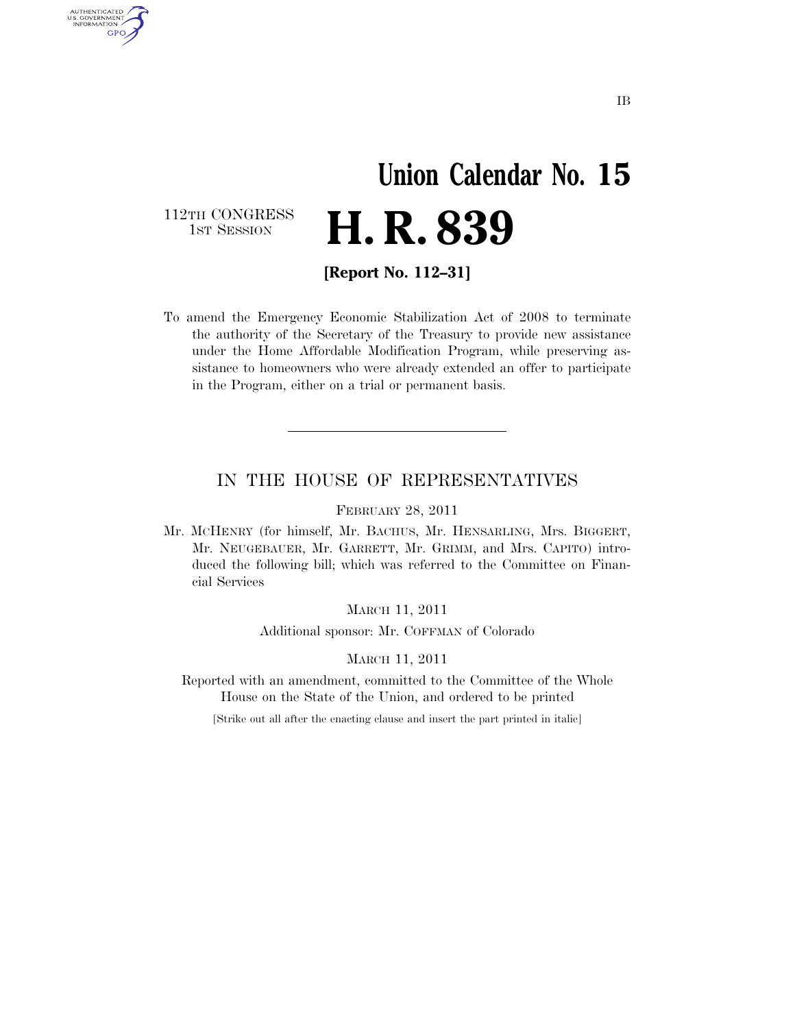## **Union Calendar No. 15**  H. R. 839

112TH CONGRESS<br>1st Session

AUTHENTICATED<br>U.S. GOVERNMENT<br>INFORMATION GPO

**[Report No. 112–31]** 

To amend the Emergency Economic Stabilization Act of 2008 to terminate the authority of the Secretary of the Treasury to provide new assistance under the Home Affordable Modification Program, while preserving assistance to homeowners who were already extended an offer to participate in the Program, either on a trial or permanent basis.

#### IN THE HOUSE OF REPRESENTATIVES

FEBRUARY 28, 2011

Mr. MCHENRY (for himself, Mr. BACHUS, Mr. HENSARLING, Mrs. BIGGERT, Mr. NEUGEBAUER, Mr. GARRETT, Mr. GRIMM, and Mrs. CAPITO) introduced the following bill; which was referred to the Committee on Financial Services

MARCH 11, 2011

Additional sponsor: Mr. COFFMAN of Colorado

MARCH 11, 2011

Reported with an amendment, committed to the Committee of the Whole House on the State of the Union, and ordered to be printed

[Strike out all after the enacting clause and insert the part printed in italic]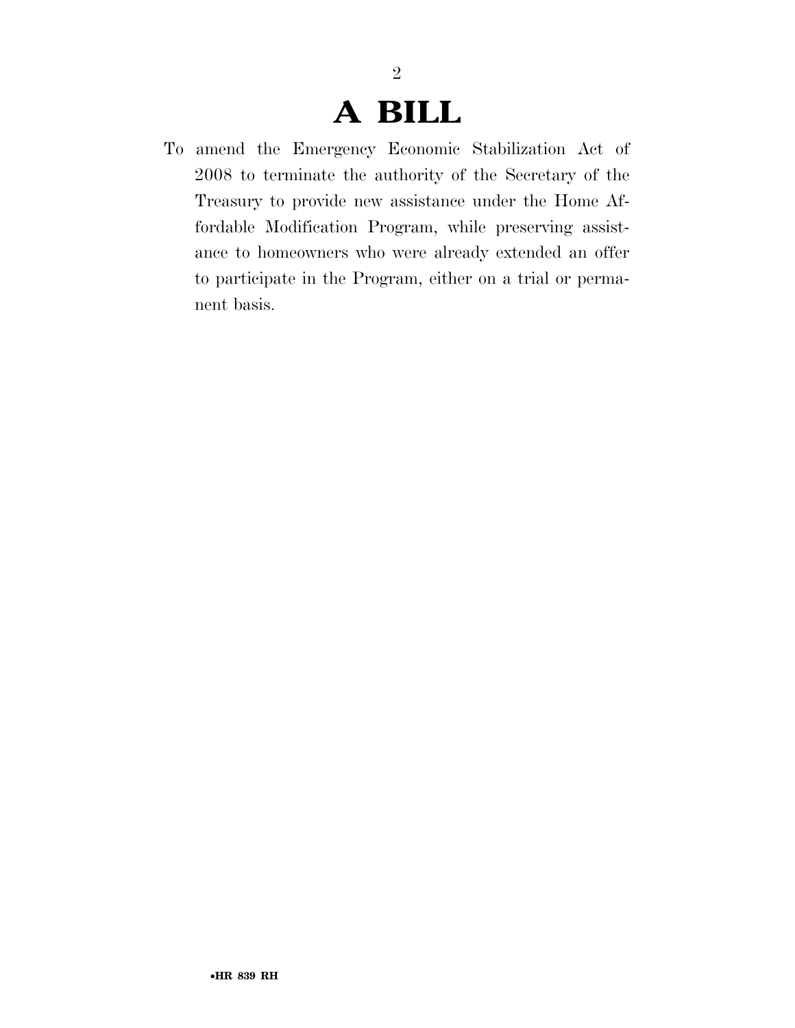### **A BILL**

2

To amend the Emergency Economic Stabilization Act of 2008 to terminate the authority of the Secretary of the Treasury to provide new assistance under the Home Affordable Modification Program, while preserving assistance to homeowners who were already extended an offer to participate in the Program, either on a trial or permanent basis.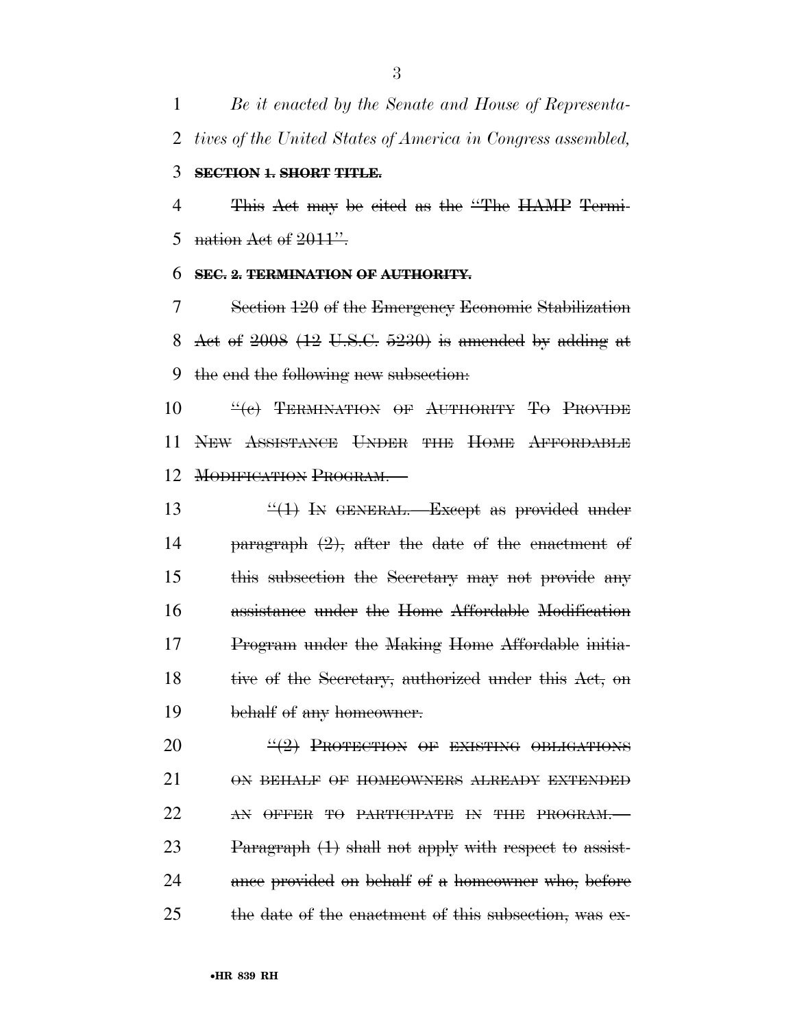*Be it enacted by the Senate and House of Representa-tives of the United States of America in Congress assembled,* 

#### **SECTION 1. SHORT TITLE.**

 This Act may be cited as the ''The HAMP Termi-5 nation Act of  $2011$ ".

#### **SEC. 2. TERMINATION OF AUTHORITY.**

 Section 120 of the Emergency Economic Stabilization Act of 2008 (12 U.S.C. 5230) is amended by adding at the end the following new subsection:

**''(c) TERMINATION OF AUTHORITY TO PROVIDE**  NEW ASSISTANCE UNDER THE HOME AFFORDABLE MODIFICATION PROGRAM.—

 $\frac{u(1)}{1}$  In GENERAL. Except as provided under paragraph (2), after the date of the enactment of this subsection the Secretary may not provide any assistance under the Home Affordable Modification Program under the Making Home Affordable initia-18 tive of the Secretary, authorized under this Act, on behalf of any homeowner.

20  $\frac{4(2)}{2}$  PROTECTION OF EXISTING OBLIGATIONS ON BEHALF OF HOMEOWNERS ALREADY EXTENDED 22 AN OFFER TO PARTICIPATE IN THE PROGRAM. 23 Paragraph (1) shall not apply with respect to assist-24 ance provided on behalf of a homeowner who, before the date of the enactment of this subsection, was ex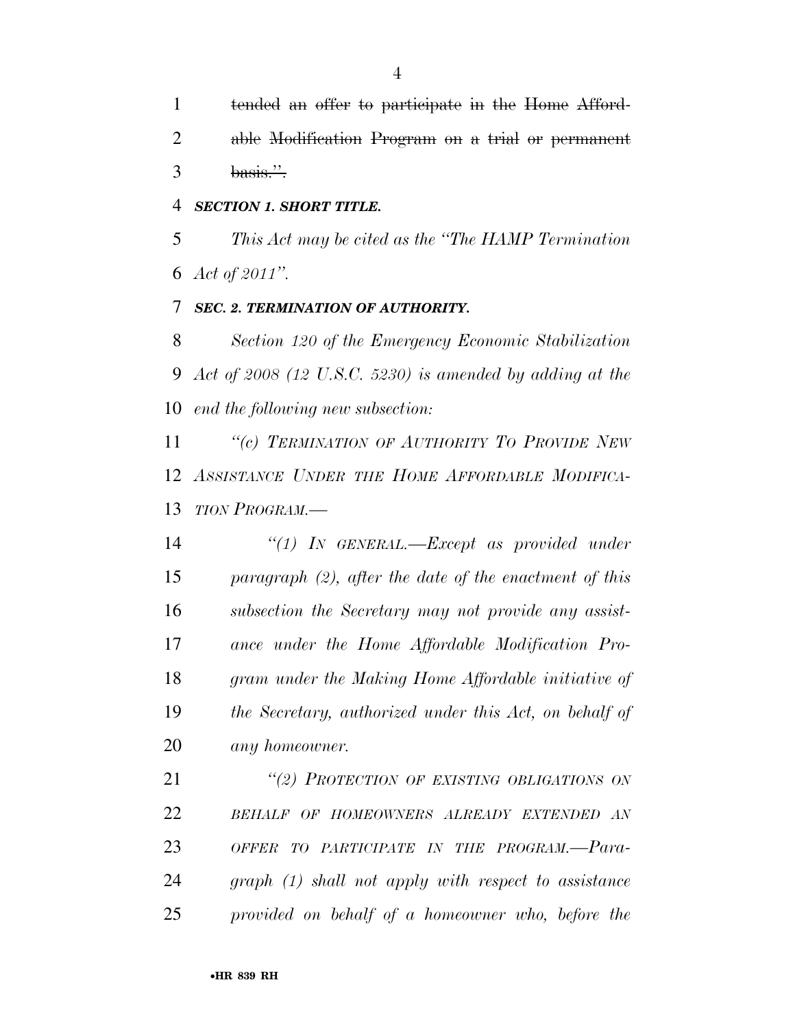tended an offer to participate in the Home Afford- able Modification Program on a trial or permanent  $3 \text{ basis.}$ 

#### *SECTION 1. SHORT TITLE.*

 *This Act may be cited as the ''The HAMP Termination Act of 2011''.* 

#### *SEC. 2. TERMINATION OF AUTHORITY.*

 *Section 120 of the Emergency Economic Stabilization Act of 2008 (12 U.S.C. 5230) is amended by adding at the end the following new subsection:* 

 *''(c) TERMINATION OF AUTHORITY TO PROVIDE NEW ASSISTANCE UNDER THE HOME AFFORDABLE MODIFICA-TION PROGRAM.—* 

 *''(1) IN GENERAL.—Except as provided under paragraph (2), after the date of the enactment of this subsection the Secretary may not provide any assist- ance under the Home Affordable Modification Pro- gram under the Making Home Affordable initiative of the Secretary, authorized under this Act, on behalf of any homeowner.* 

 *''(2) PROTECTION OF EXISTING OBLIGATIONS ON BEHALF OF HOMEOWNERS ALREADY EXTENDED AN OFFER TO PARTICIPATE IN THE PROGRAM.—Para- graph (1) shall not apply with respect to assistance provided on behalf of a homeowner who, before the*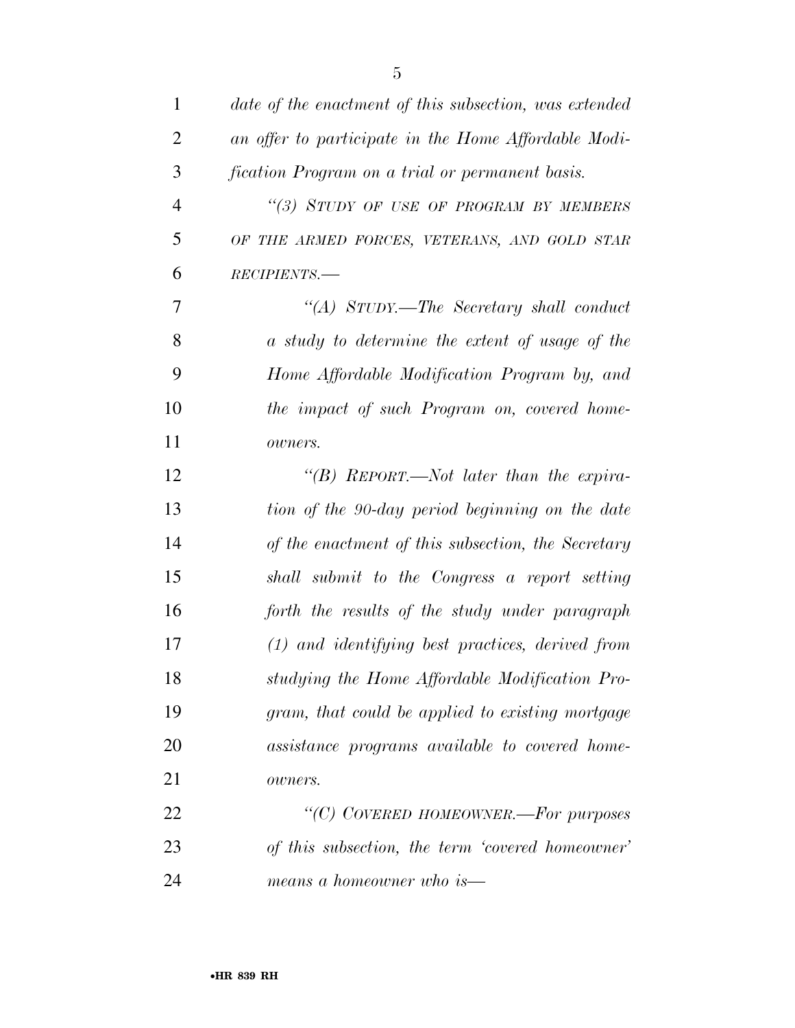| $\mathbf{1}$   | date of the enactment of this subsection, was extended |
|----------------|--------------------------------------------------------|
| $\overline{2}$ | an offer to participate in the Home Affordable Modi-   |
| 3              | fication Program on a trial or permanent basis.        |
| $\overline{4}$ | "(3) STUDY OF USE OF PROGRAM BY MEMBERS                |
| 5              | OF THE ARMED FORCES, VETERANS, AND GOLD STAR           |
| 6              | RECIPIENTS.-                                           |
| 7              | "(A) STUDY.—The Secretary shall conduct                |
| 8              | a study to determine the extent of usage of the        |
| 9              | Home Affordable Modification Program by, and           |
| 10             | the impact of such Program on, covered home-           |
| 11             | owners.                                                |
| 12             | "(B) REPORT.—Not later than the expira-                |
| 13             | tion of the 90-day period beginning on the date        |
| 14             | of the enactment of this subsection, the Secretary     |
| 15             | shall submit to the Congress a report setting          |
| 16             | forth the results of the study under paragraph         |
| 17             | $(1)$ and identifying best practices, derived from     |
| 18             | studying the Home Affordable Modification Pro-         |
| 19             | gram, that could be applied to existing mortgage       |
| 20             | assistance programs available to covered home-         |
| 21             | owners.                                                |
| 22             | "(C) COVERED HOMEOWNER.-For purposes                   |
| 23             | of this subsection, the term 'covered homeowner'       |
| 24             | means a homeowner who is—                              |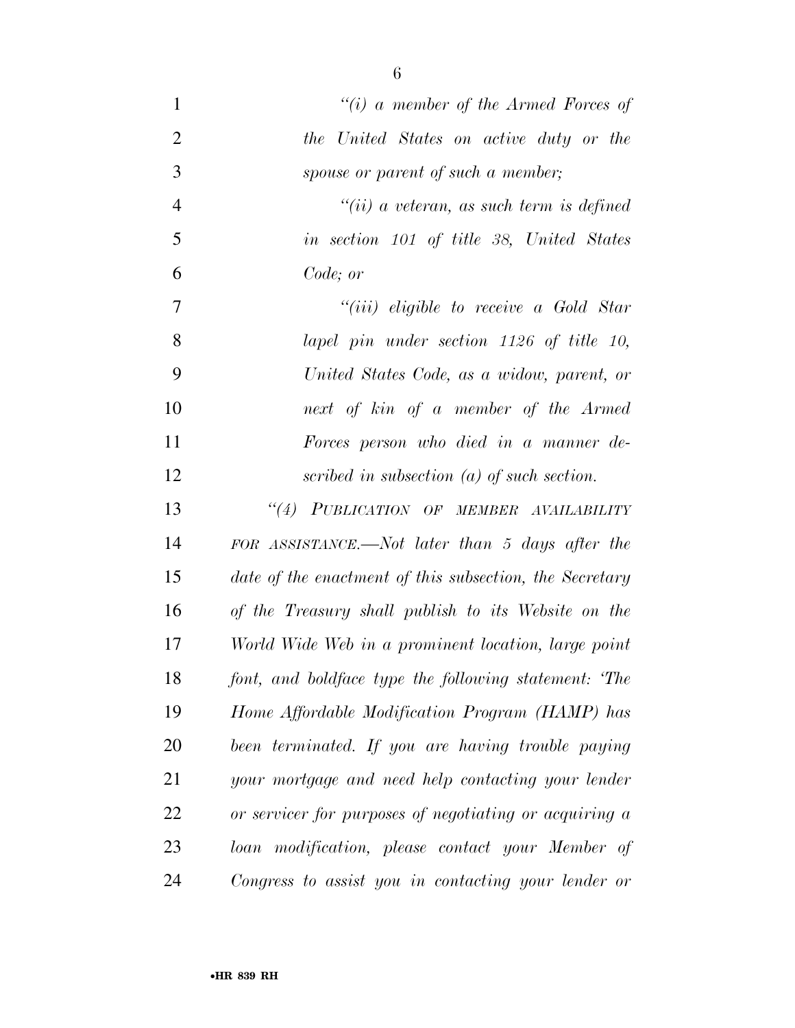| $\mathbf{1}$   | "(i) a member of the Armed Forces of                    |
|----------------|---------------------------------------------------------|
| $\overline{2}$ | the United States on active duty or the                 |
| 3              | spouse or parent of such a member;                      |
| $\overline{4}$ | $``(ii)$ a veteran, as such term is defined             |
| 5              | in section 101 of title 38, United States               |
| 6              | Code; or                                                |
| $\tau$         | "( <i>iii</i> ) eligible to receive a Gold Star         |
| 8              | lapel pin under section 1126 of title 10,               |
| 9              | United States Code, as a widow, parent, or              |
| 10             | next of kin of a member of the Armed                    |
| 11             | Forces person who died in a manner de-                  |
| 12             | scribed in subsection $(a)$ of such section.            |
| 13             | "(4) PUBLICATION OF MEMBER AVAILABILITY                 |
| 14             | FOR ASSISTANCE.—Not later than 5 days after the         |
| 15             | date of the enactment of this subsection, the Secretary |
| 16             | of the Treasury shall publish to its Website on the     |
| 17             | World Wide Web in a prominent location, large point     |
| 18             | font, and boldface type the following statement: 'The   |
| 19             | Home Affordable Modification Program (HAMP) has         |
| 20             | been terminated. If you are having trouble paying       |
| 21             | your mortgage and need help contacting your lender      |
| 22             | or servicer for purposes of negotiating or acquiring a  |
| 23             | loan modification, please contact your Member of        |
| 24             | Congress to assist you in contacting your lender or     |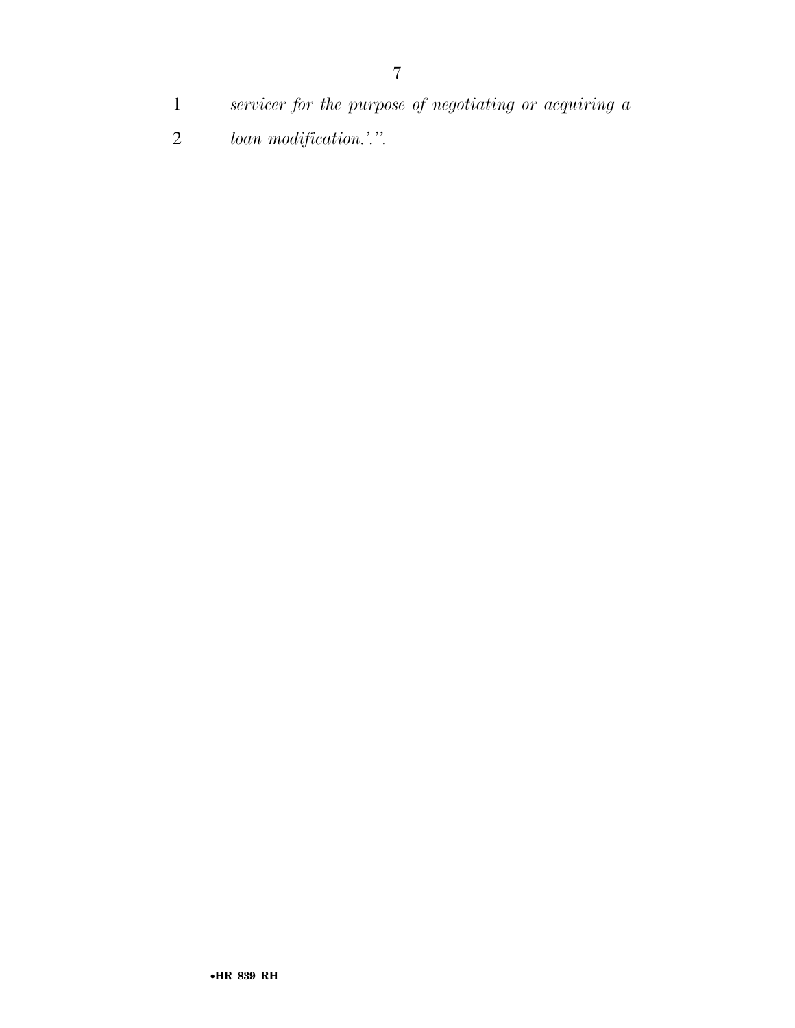- *servicer for the purpose of negotiating or acquiring a*
- *loan modification.'.''.*